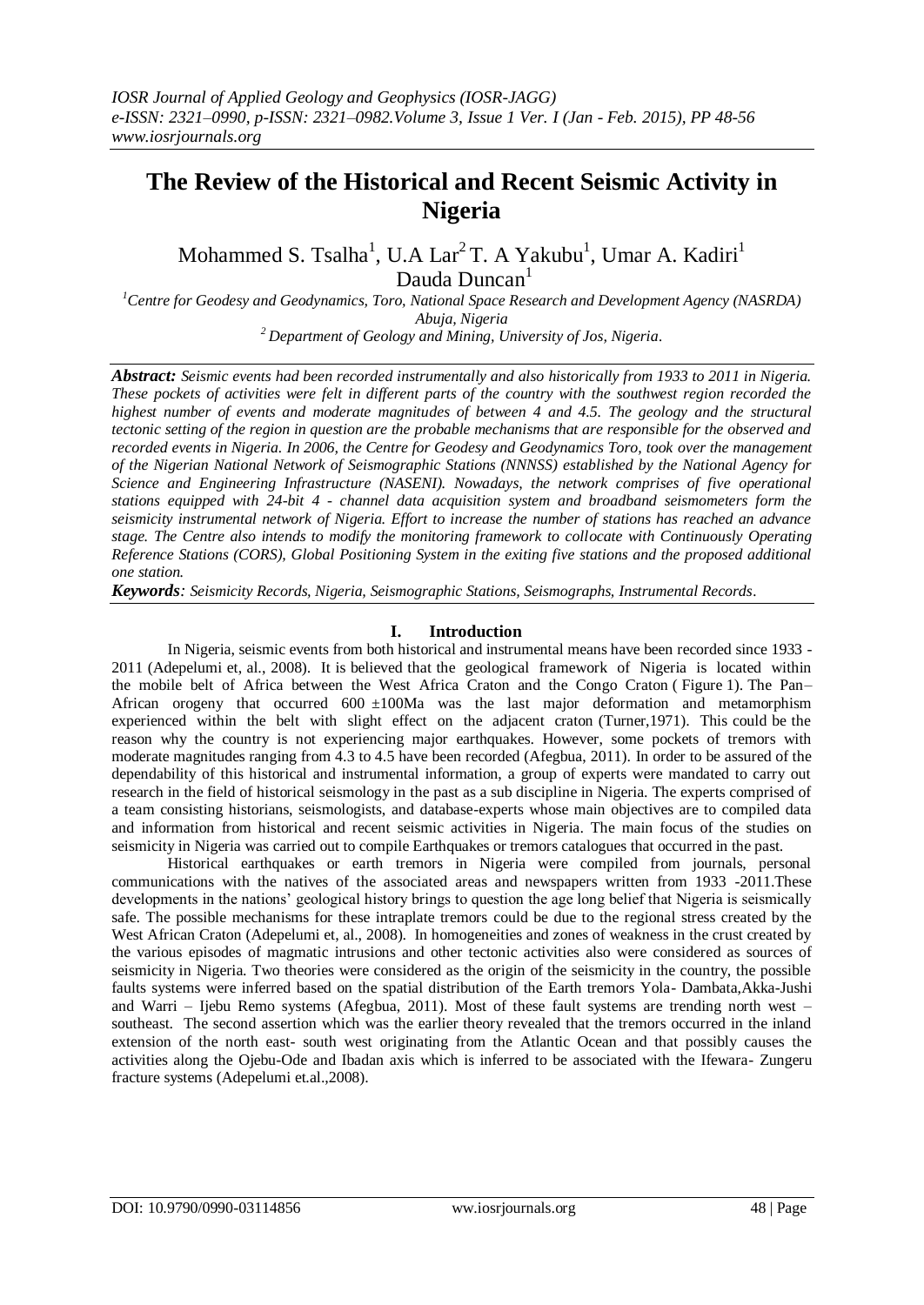# **The Review of the Historical and Recent Seismic Activity in Nigeria**

Mohammed S. Tsalha<sup>1</sup>, U.A Lar<sup>2</sup> T. A Yakubu<sup>1</sup>, Umar A. Kadiri<sup>1</sup> Dauda Duncan<sup>1</sup>

*<sup>1</sup>Centre for Geodesy and Geodynamics, Toro, National Space Research and Development Agency (NASRDA) Abuja, Nigeria*

*<sup>2</sup> Department of Geology and Mining, University of Jos, Nigeria.*

*Abstract: Seismic events had been recorded instrumentally and also historically from 1933 to 2011 in Nigeria. These pockets of activities were felt in different parts of the country with the southwest region recorded the highest number of events and moderate magnitudes of between 4 and 4.5. The geology and the structural tectonic setting of the region in question are the probable mechanisms that are responsible for the observed and recorded events in Nigeria. In 2006, the Centre for Geodesy and Geodynamics Toro, took over the management of the Nigerian National Network of Seismographic Stations (NNNSS) established by the National Agency for Science and Engineering Infrastructure (NASENI). Nowadays, the network comprises of five operational stations equipped with 24-bit 4 - channel data acquisition system and broadband seismometers form the seismicity instrumental network of Nigeria. Effort to increase the number of stations has reached an advance stage. The Centre also intends to modify the monitoring framework to collocate with Continuously Operating Reference Stations (CORS), Global Positioning System in the exiting five stations and the proposed additional one station.* 

*Keywords: Seismicity Records, Nigeria, Seismographic Stations, Seismographs, Instrumental Records.*

# **I. Introduction**

In Nigeria, seismic events from both historical and instrumental means have been recorded since 1933 - 2011 (Adepelumi et, al., 2008). It is believed that the geological framework of Nigeria is located within the mobile belt of Africa between the West Africa Craton and the Congo Craton ( Figure 1). The Pan– African orogeny that occurred  $600 \pm 100$ Ma was the last major deformation and metamorphism experienced within the belt with slight effect on the adjacent craton (Turner,1971). This could be the reason why the country is not experiencing major earthquakes. However, some pockets of tremors with moderate magnitudes ranging from 4.3 to 4.5 have been recorded (Afegbua, 2011). In order to be assured of the dependability of this historical and instrumental information, a group of experts were mandated to carry out research in the field of historical seismology in the past as a sub discipline in Nigeria. The experts comprised of a team consisting historians, seismologists, and database-experts whose main objectives are to compiled data and information from historical and recent seismic activities in Nigeria. The main focus of the studies on seismicity in Nigeria was carried out to compile Earthquakes or tremors catalogues that occurred in the past.

Historical earthquakes or earth tremors in Nigeria were compiled from journals, personal communications with the natives of the associated areas and newspapers written from 1933 -2011.These developments in the nations' geological history brings to question the age long belief that Nigeria is seismically safe. The possible mechanisms for these intraplate tremors could be due to the regional stress created by the West African Craton (Adepelumi et, al., 2008). In homogeneities and zones of weakness in the crust created by the various episodes of magmatic intrusions and other tectonic activities also were considered as sources of seismicity in Nigeria. Two theories were considered as the origin of the seismicity in the country, the possible faults systems were inferred based on the spatial distribution of the Earth tremors Yola- Dambata,Akka-Jushi and Warri – Ijebu Remo systems (Afegbua, 2011). Most of these fault systems are trending north west – southeast. The second assertion which was the earlier theory revealed that the tremors occurred in the inland extension of the north east- south west originating from the Atlantic Ocean and that possibly causes the activities along the Ojebu-Ode and Ibadan axis which is inferred to be associated with the Ifewara- Zungeru fracture systems (Adepelumi et.al.,2008).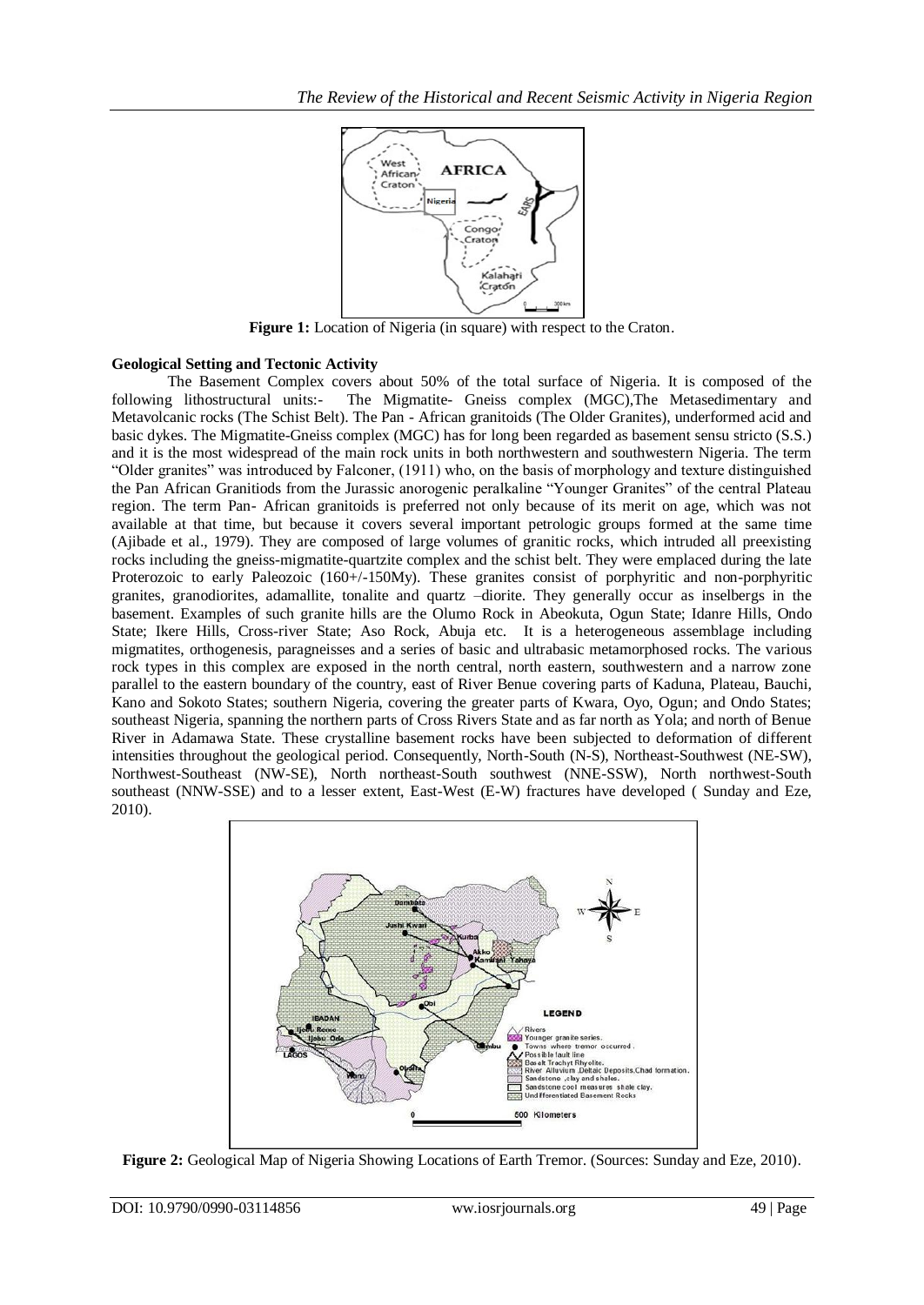

**Figure 1:** Location of Nigeria (in square) with respect to the Craton.

# **Geological Setting and Tectonic Activity**

The Basement Complex covers about 50% of the total surface of Nigeria. It is composed of the following lithostructural units:- The Migmatite- Gneiss complex (MGC),The Metasedimentary and Metavolcanic rocks (The Schist Belt). The Pan - African granitoids (The Older Granites), underformed acid and basic dykes. The Migmatite-Gneiss complex (MGC) has for long been regarded as basement sensu stricto (S.S.) and it is the most widespread of the main rock units in both northwestern and southwestern Nigeria. The term "Older granites" was introduced by Falconer, (1911) who, on the basis of morphology and texture distinguished the Pan African Granitiods from the Jurassic anorogenic peralkaline "Younger Granites" of the central Plateau region. The term Pan- African granitoids is preferred not only because of its merit on age, which was not available at that time, but because it covers several important petrologic groups formed at the same time (Ajibade et al., 1979). They are composed of large volumes of granitic rocks, which intruded all preexisting rocks including the gneiss-migmatite-quartzite complex and the schist belt. They were emplaced during the late Proterozoic to early Paleozoic (160+/-150My). These granites consist of porphyritic and non-porphyritic granites, granodiorites, adamallite, tonalite and quartz –diorite. They generally occur as inselbergs in the basement. Examples of such granite hills are the Olumo Rock in Abeokuta, Ogun State; Idanre Hills, Ondo State; Ikere Hills, Cross-river State; Aso Rock, Abuja etc. It is a heterogeneous assemblage including migmatites, orthogenesis, paragneisses and a series of basic and ultrabasic metamorphosed rocks. The various rock types in this complex are exposed in the north central, north eastern, southwestern and a narrow zone parallel to the eastern boundary of the country, east of River Benue covering parts of Kaduna, Plateau, Bauchi, Kano and Sokoto States; southern Nigeria, covering the greater parts of Kwara, Oyo, Ogun; and Ondo States; southeast Nigeria, spanning the northern parts of Cross Rivers State and as far north as Yola; and north of Benue River in Adamawa State. These crystalline basement rocks have been subjected to deformation of different intensities throughout the geological period. Consequently, North-South (N-S), Northeast-Southwest (NE-SW), Northwest-Southeast (NW-SE), North northeast-South southwest (NNE-SSW), North northwest-South southeast (NNW-SSE) and to a lesser extent, East-West (E-W) fractures have developed ( Sunday and Eze, 2010).



**Figure 2:** Geological Map of Nigeria Showing Locations of Earth Tremor. (Sources: Sunday and Eze, 2010).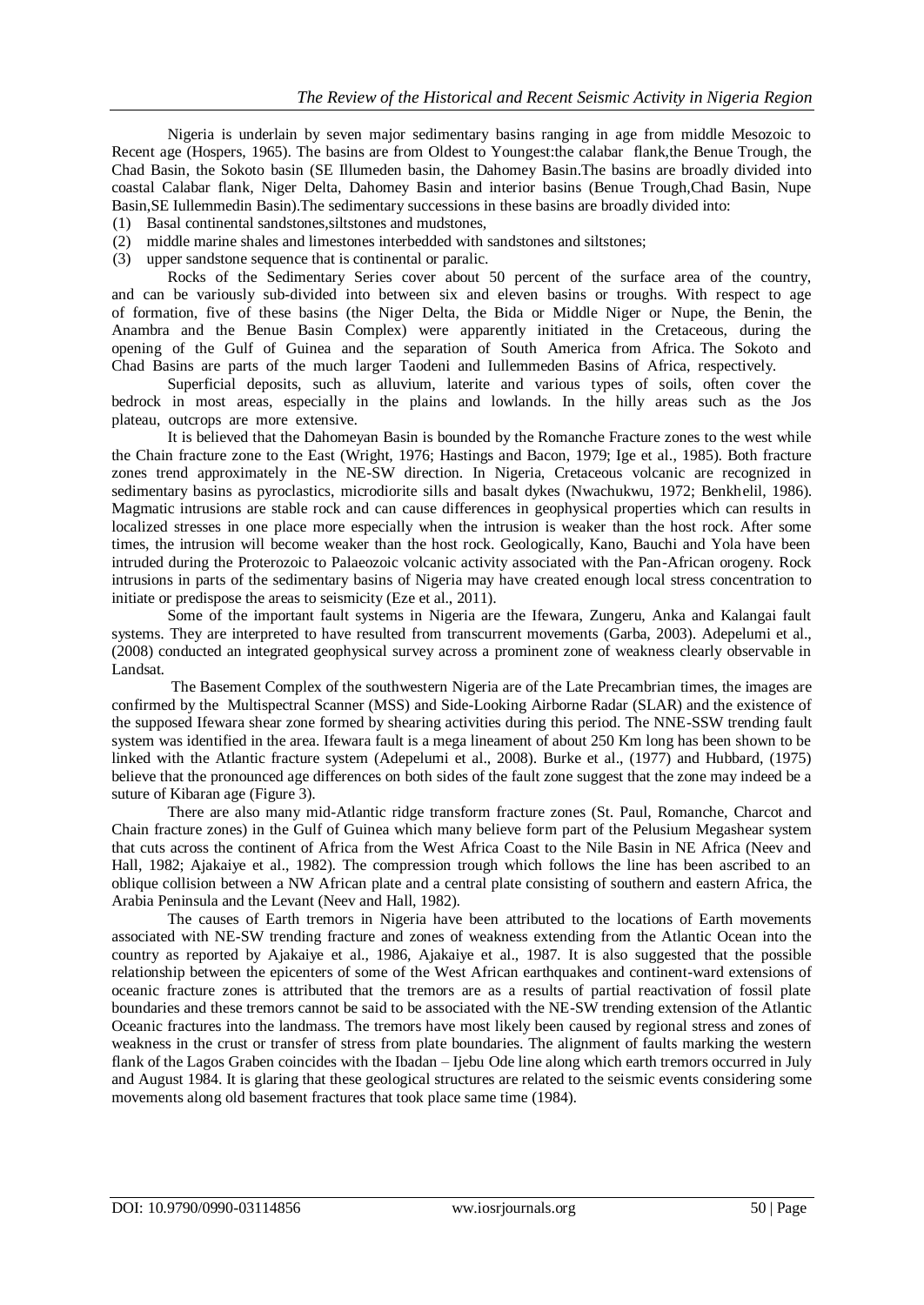Nigeria is underlain by seven major sedimentary basins ranging in age from middle Mesozoic to Recent age (Hospers, 1965). The basins are from Oldest to Youngest:the calabar flank,the Benue Trough, the Chad Basin, the Sokoto basin (SE Illumeden basin, the Dahomey Basin.The basins are broadly divided into coastal Calabar flank, Niger Delta, Dahomey Basin and interior basins (Benue Trough,Chad Basin, Nupe Basin,SE Iullemmedin Basin).The sedimentary successions in these basins are broadly divided into:

- (1) Basal continental sandstones,siltstones and mudstones,
- (2) middle marine shales and limestones interbedded with sandstones and siltstones;
- (3) upper sandstone sequence that is continental or paralic.

Rocks of the Sedimentary Series cover about 50 percent of the surface area of the country, and can be variously sub-divided into between six and eleven basins or troughs. With respect to age of formation, five of these basins (the Niger Delta, the Bida or Middle Niger or Nupe, the Benin, the Anambra and the Benue Basin Complex) were apparently initiated in the Cretaceous, during the opening of the Gulf of Guinea and the separation of South America from Africa. The Sokoto and Chad Basins are parts of the much larger Taodeni and Iullemmeden Basins of Africa, respectively.

Superficial deposits, such as alluvium, laterite and various types of soils, often cover the bedrock in most areas, especially in the plains and lowlands. In the hilly areas such as the Jos plateau, outcrops are more extensive.

It is believed that the Dahomeyan Basin is bounded by the Romanche Fracture zones to the west while the Chain fracture zone to the East (Wright, 1976; Hastings and Bacon, 1979; Ige et al., 1985). Both fracture zones trend approximately in the NE-SW direction. In Nigeria, Cretaceous volcanic are recognized in sedimentary basins as pyroclastics, microdiorite sills and basalt dykes (Nwachukwu, 1972; Benkhelil, 1986). Magmatic intrusions are stable rock and can cause differences in geophysical properties which can results in localized stresses in one place more especially when the intrusion is weaker than the host rock. After some times, the intrusion will become weaker than the host rock. Geologically, Kano, Bauchi and Yola have been intruded during the Proterozoic to Palaeozoic volcanic activity associated with the Pan-African orogeny. Rock intrusions in parts of the sedimentary basins of Nigeria may have created enough local stress concentration to initiate or predispose the areas to seismicity (Eze et al., 2011).

Some of the important fault systems in Nigeria are the Ifewara, Zungeru, Anka and Kalangai fault systems. They are interpreted to have resulted from transcurrent movements (Garba, 2003). Adepelumi et al., (2008) conducted an integrated geophysical survey across a prominent zone of weakness clearly observable in Landsat.

The Basement Complex of the southwestern Nigeria are of the Late Precambrian times, the images are confirmed by the Multispectral Scanner (MSS) and Side-Looking Airborne Radar (SLAR) and the existence of the supposed Ifewara shear zone formed by shearing activities during this period. The NNE-SSW trending fault system was identified in the area. Ifewara fault is a mega lineament of about 250 Km long has been shown to be linked with the Atlantic fracture system (Adepelumi et al., 2008). Burke et al., (1977) and Hubbard, (1975) believe that the pronounced age differences on both sides of the fault zone suggest that the zone may indeed be a suture of Kibaran age (Figure 3).

There are also many mid-Atlantic ridge transform fracture zones (St. Paul, Romanche, Charcot and Chain fracture zones) in the Gulf of Guinea which many believe form part of the Pelusium Megashear system that cuts across the continent of Africa from the West Africa Coast to the Nile Basin in NE Africa (Neev and Hall, 1982; Ajakaiye et al., 1982). The compression trough which follows the line has been ascribed to an oblique collision between a NW [African](http://www.aiep-certify.org/) plate and a central plate consisting of southern and eastern Africa, the Arabia Peninsula and the Levant (Neev and Hall, 1982).

The causes of Earth tremors in Nigeria have been attributed to the locations of Earth movements associated with NE-SW trending fracture and zones of weakness extending from the Atlantic Ocean into the country as reported by Ajakaiye et al., 1986, Ajakaiye et al., 1987. It is also suggested that the possible relationship between the epicenters of some of the West African earthquakes and continent-ward extensions of oceanic fracture zones is attributed that the tremors are as a results of partial reactivation of fossil plate boundaries and these tremors cannot be said to be associated with the NE-SW trending extension of the Atlantic Oceanic fractures into the landmass. The tremors have most likely been caused by regional stress and zones of weakness in the crust or transfer of stress from plate boundaries. The alignment of faults marking the western flank of the Lagos Graben coincides with the Ibadan – Ijebu Ode line along which earth tremors occurred in July and August 1984. It is glaring that these geological structures are related to the seismic events considering some movements along old basement fractures that took place same time (1984).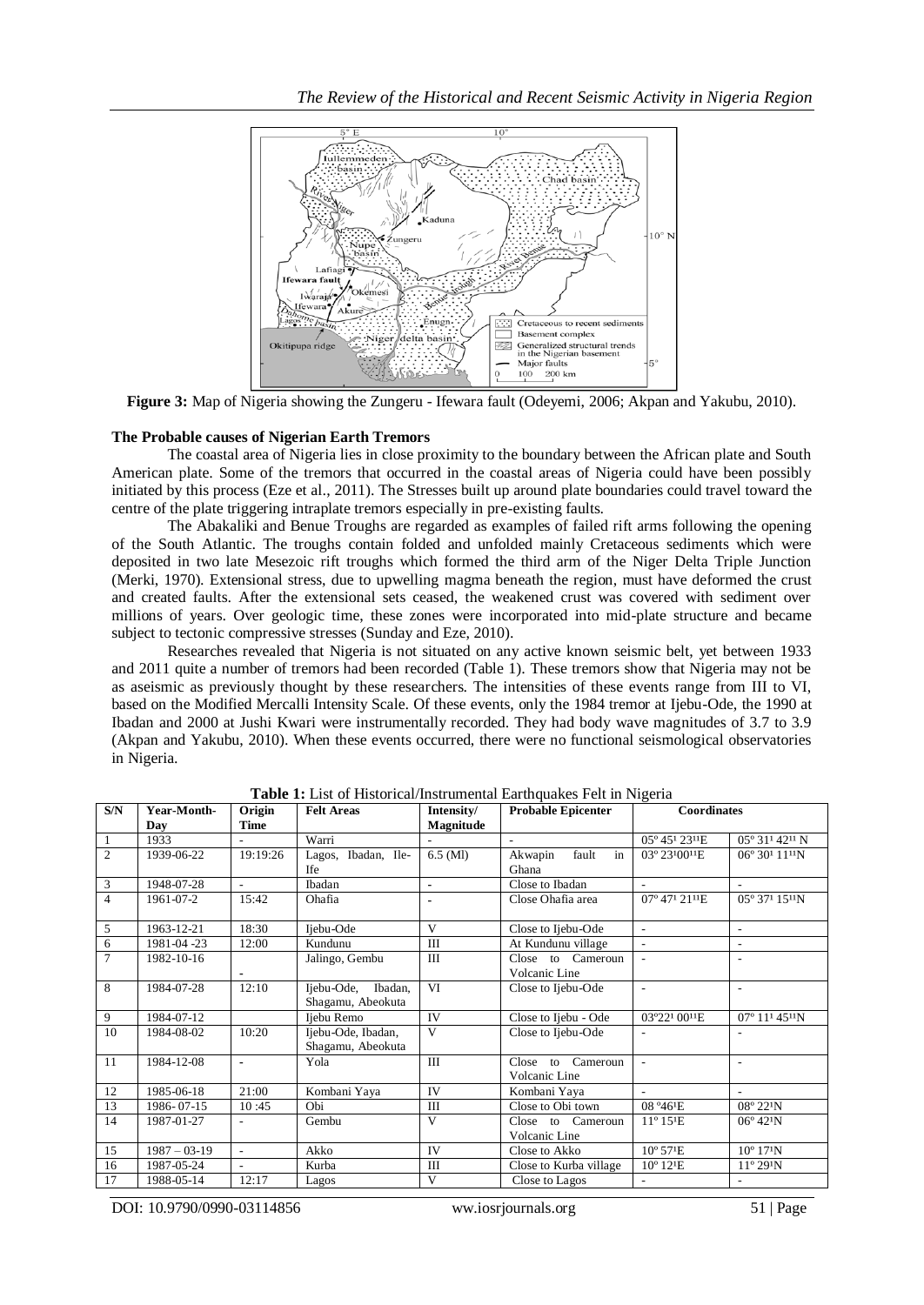

**Figure 3:** Map of Nigeria showing the Zungeru - Ifewara fault (Odeyemi, 2006; Akpan and Yakubu, 2010).

#### **The Probable causes of Nigerian Earth Tremors**

The coastal area of Nigeria lies in close proximity to the boundary between the African plate and South American plate. Some of the tremors that occurred in the coastal areas of Nigeria could have been possibly initiated by this process (Eze et al., 2011). The Stresses built up around plate boundaries could travel toward the centre of the plate triggering intraplate tremors especially in pre-existing faults.

The Abakaliki and Benue Troughs are regarded as examples of failed rift arms following the opening of the South Atlantic. The troughs contain folded and unfolded mainly Cretaceous sediments which were deposited in two late Mesezoic rift troughs which formed the third arm of the Niger Delta Triple Junction (Merki, 1970). Extensional stress, due to upwelling magma beneath the region, must have deformed the crust and created faults. After the extensional sets ceased, the weakened crust was covered with sediment over millions of years. Over geologic time, these zones were incorporated into mid-plate structure and became subject to tectonic compressive stresses (Sunday and Eze, 2010).

Researches revealed that Nigeria is not situated on any active known seismic belt, yet between 1933 and 2011 quite a number of tremors had been recorded (Table 1). These tremors show that Nigeria may not be as aseismic as previously thought by these researchers. The intensities of these events range from III to VI, based on the Modified Mercalli Intensity Scale. Of these events, only the 1984 tremor at Ijebu-Ode, the 1990 at Ibadan and 2000 at Jushi Kwari were instrumentally recorded. They had body wave magnitudes of 3.7 to 3.9 (Akpan and Yakubu, 2010). When these events occurred, there were no functional seismological observatories in Nigeria.

| S/N            | Year-Month-      | Origin                   | <b>Felt Areas</b>                       | Intensity/     | <b>Probable Epicenter</b>          | <b>Coordinates</b>        |                                        |
|----------------|------------------|--------------------------|-----------------------------------------|----------------|------------------------------------|---------------------------|----------------------------------------|
|                | Day              | <b>Time</b>              |                                         | Magnitude      |                                    |                           |                                        |
| 1              | 1933             |                          | Warri                                   |                |                                    | 05° 451 2311E             | $05^{\circ} 31^{\circ} 42^{\circ} N$   |
| $\overline{c}$ | 1939-06-22       | 19:19:26                 | Lagos, Ibadan, Ile-                     | $6.5$ (MI)     | Akwapin<br>fault<br>in             | 03° 2310011E              | $06^{\circ} 30^{\prime} 11^{\prime} N$ |
|                |                  |                          | <b>Ife</b>                              |                | Ghana                              |                           |                                        |
| 3              | 1948-07-28       | $\sim$                   | Ibadan                                  | $\blacksquare$ | Close to Ibadan                    |                           |                                        |
| $\overline{4}$ | 1961-07-2        | 15:42                    | Ohafia                                  |                | Close Ohafia area                  | 07° 471 2111E             | 05° 371 1511N                          |
| 5              | 1963-12-21       | 18:30                    | Ijebu-Ode                               | V              | Close to Ijebu-Ode                 | $\overline{a}$            | $\overline{\phantom{a}}$               |
| 6              | 1981-04-23       | 12:00                    | Kundunu                                 | III            | At Kundunu village                 | $\sim$                    |                                        |
| $\overline{7}$ | 1982-10-16       |                          | Jalingo, Gembu                          | Ш              | Close to Cameroun                  | ٠                         | $\overline{\phantom{a}}$               |
|                |                  |                          |                                         |                | Volcanic Line                      |                           |                                        |
| 8              | 1984-07-28       | 12:10                    | Ijebu-Ode, Ibadan,<br>Shagamu, Abeokuta | VI             | Close to Ijebu-Ode                 | $\overline{\phantom{a}}$  | $\overline{\phantom{a}}$               |
| 9              | 1984-07-12       |                          | Ijebu Remo                              | IV             | Close to Ijebu - Ode               | 03°221 0011E              | $07^{\circ} 11^{\prime} 45^{\prime} N$ |
| 10             | 1984-08-02       | 10:20                    | Ijebu-Ode, Ibadan,<br>Shagamu, Abeokuta | V              | Close to Ijebu-Ode                 |                           |                                        |
| 11             | 1984-12-08       | $\blacksquare$           | Yola                                    | Ш              | Close to Cameroun<br>Volcanic Line |                           | $\overline{\phantom{a}}$               |
| 12             | 1985-06-18       | 21:00                    | Kombani Yaya                            | <b>IV</b>      | Kombani Yaya                       | $\overline{a}$            |                                        |
| 13             | 1986-07-15       | 10:45                    | Obi                                     | Ш              | Close to Obi town                  | 08 ° 46 <sup>1</sup> E    | $08^{\circ} 22^{\circ} N$              |
| 14             | 1987-01-27       | ٠                        | Gembu                                   | V              | Close to Cameroun                  | $11^{\circ} 15^{\circ}$ E | $06^{\circ} 42^{\circ} N$              |
|                |                  |                          |                                         |                | Volcanic Line                      |                           |                                        |
| 15             | $1987 - 03 - 19$ | $\overline{\phantom{a}}$ | Akko                                    | IV             | Close to Akko                      | 10° 57 <sup>1</sup> E     | $10^{\circ}$ 17 <sup>1</sup> N         |
| 16             | 1987-05-24       |                          | Kurba                                   | III            | Close to Kurba village             | 10° 12 <sup>1</sup> E     | $11^{\circ} 29^{\circ} N$              |
| 17             | 1988-05-14       | 12:17                    | Lagos                                   | V              | Close to Lagos                     | $\overline{\phantom{a}}$  |                                        |

**Table 1:** List of Historical/Instrumental Earthquakes Felt in Nigeria

DOI: 10.9790/0990-03114856 ww.iosrjournals.org 51 | Page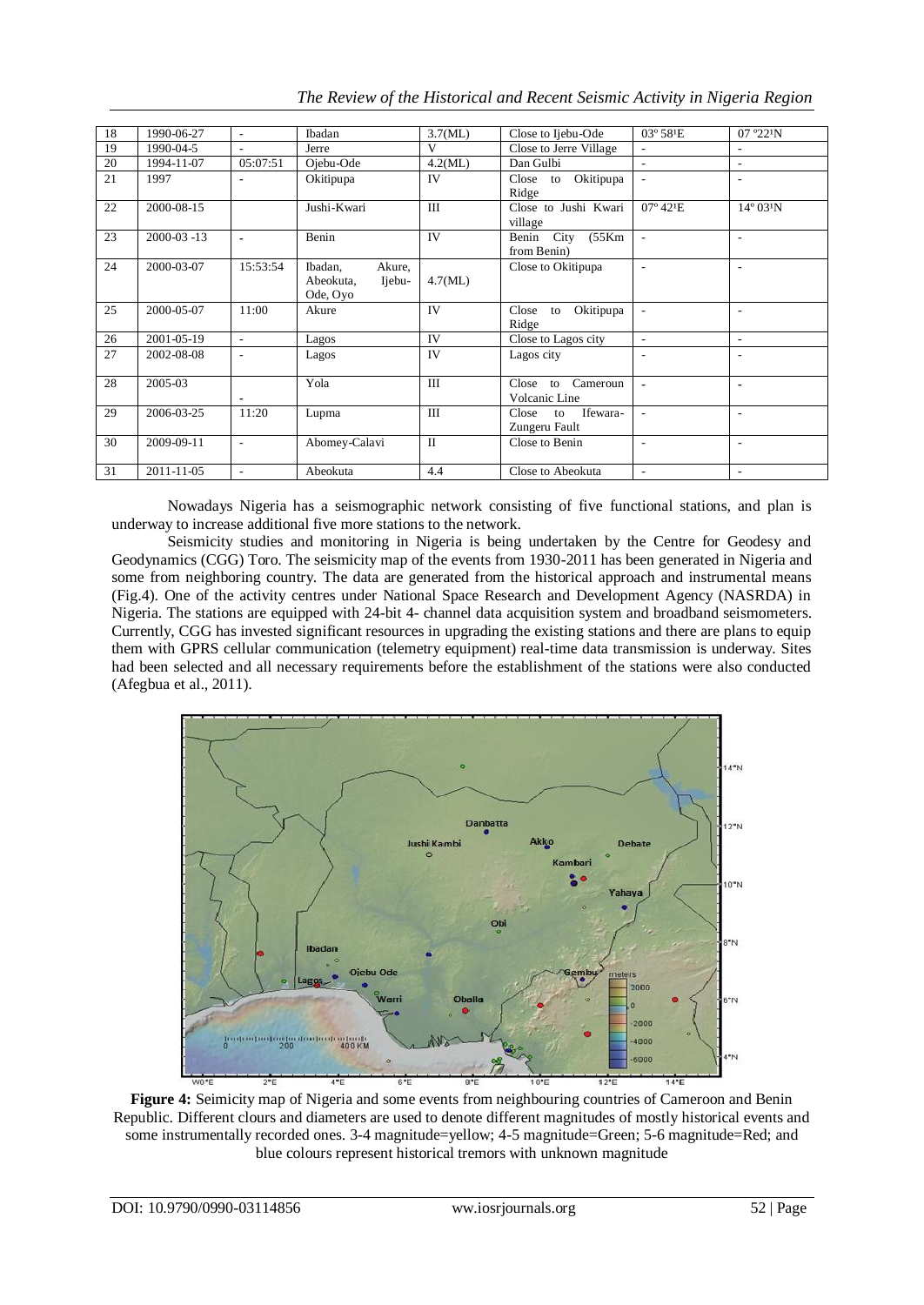| 18 | 1990-06-27       | $\overline{\phantom{a}}$ | Ibadan                                               | 3.7(ML)      | Close to Ijebu-Ode                                 | $03^{\circ} 58^{\circ}$ E | 07°22'N                   |
|----|------------------|--------------------------|------------------------------------------------------|--------------|----------------------------------------------------|---------------------------|---------------------------|
| 19 | 1990-04-5        | $\overline{\phantom{a}}$ | Jerre                                                | V            | Close to Jerre Village                             | $\overline{\phantom{a}}$  |                           |
| 20 | 1994-11-07       | 05:07:51                 | Ojebu-Ode                                            | 4.2(ML)      | Dan Gulbi                                          | $\sim$                    | $\sim$                    |
| 21 | 1997             | ÷.                       | Okitipupa                                            | <b>IV</b>    | Okitipupa<br>Close to<br>Ridge                     | $\sim$                    | $\overline{\phantom{a}}$  |
| 22 | 2000-08-15       |                          | Jushi-Kwari                                          | III          | Close to Jushi Kwari<br>village                    | $07^{\circ} 42^{\circ}$ E | $14^{\circ} 03^{\circ} N$ |
| 23 | $2000 - 03 - 13$ | $\blacksquare$           | Benin                                                | <b>IV</b>    | Benin City<br>(55Km)<br>from Benin)                | $\overline{\phantom{a}}$  | $\overline{a}$            |
| 24 | 2000-03-07       | 15:53:54                 | Ibadan,<br>Akure,<br>Abeokuta,<br>Ijebu-<br>Ode, Oyo | 4.7(ML)      | Close to Okitipupa                                 |                           | ÷.                        |
| 25 | 2000-05-07       | 11:00                    | Akure                                                | IV           | Okitipupa<br>Close<br>to<br>Ridge                  | $\overline{\phantom{a}}$  | $\overline{\phantom{a}}$  |
| 26 | 2001-05-19       | ÷.                       | Lagos                                                | <b>IV</b>    | Close to Lagos city                                | $\blacksquare$            |                           |
| 27 | 2002-08-08       | ٠                        | Lagos                                                | IV           | Lagos city                                         |                           |                           |
| 28 | 2005-03          | $\blacksquare$           | Yola                                                 | IΙI          | Close to Cameroun<br>Volcanic Line                 |                           | $\blacksquare$            |
| 29 | 2006-03-25       | 11:20                    | Lupma                                                | III          | Close<br>Ifewara-<br>$\mathbf{t}$<br>Zungeru Fault |                           | $\overline{a}$            |
| 30 | 2009-09-11       | $\overline{\phantom{a}}$ | Abomey-Calavi                                        | $\mathbf{I}$ | Close to Benin                                     | $\overline{\phantom{a}}$  | $\overline{\phantom{a}}$  |
| 31 | 2011-11-05       | ٠                        | Abeokuta                                             | 4.4          | Close to Abeokuta                                  | $\overline{\phantom{a}}$  |                           |

*The Review of the Historical and Recent Seismic Activity in Nigeria Region*

Nowadays Nigeria has a seismographic network consisting of five functional stations, and plan is underway to increase additional five more stations to the network.

Seismicity studies and monitoring in Nigeria is being undertaken by the Centre for Geodesy and Geodynamics (CGG) Toro. The seismicity map of the events from 1930-2011 has been generated in Nigeria and some from neighboring country. The data are generated from the historical approach and instrumental means (Fig.4). One of the activity centres under National Space Research and Development Agency (NASRDA) in Nigeria. The stations are equipped with 24-bit 4- channel data acquisition system and broadband seismometers. Currently, CGG has invested significant resources in upgrading the existing stations and there are plans to equip them with GPRS cellular communication (telemetry equipment) real-time data transmission is underway. Sites had been selected and all necessary requirements before the establishment of the stations were also conducted (Afegbua et al., 2011).



**Figure 4:** Seimicity map of Nigeria and some events from neighbouring countries of Cameroon and Benin Republic. Different clours and diameters are used to denote different magnitudes of mostly historical events and some instrumentally recorded ones. 3-4 magnitude=yellow; 4-5 magnitude=Green; 5-6 magnitude=Red; and blue colours represent historical tremors with unknown magnitude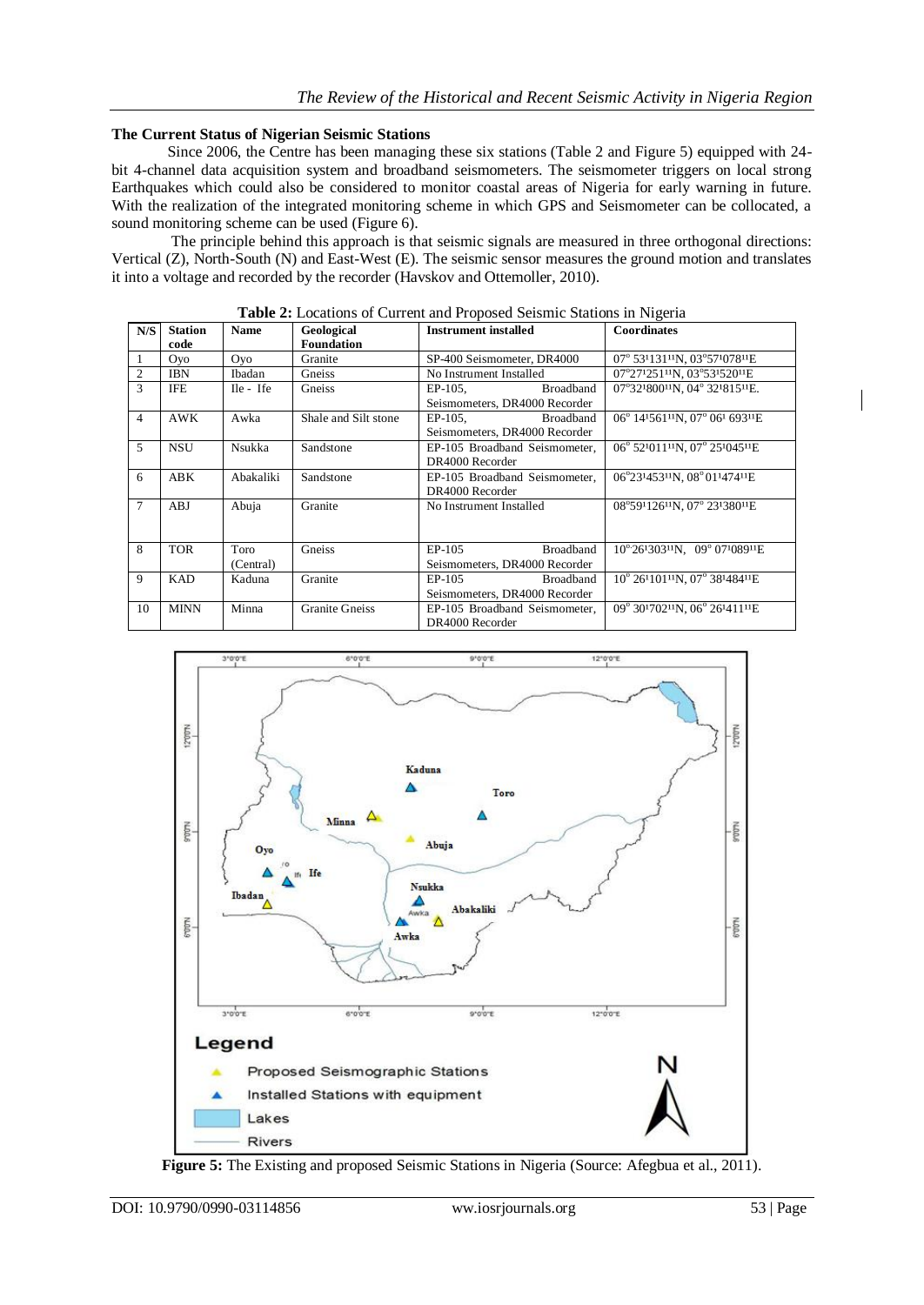### **The Current Status of Nigerian Seismic Stations**

Since 2006, the Centre has been managing these six stations (Table 2 and Figure 5) equipped with 24 bit 4-channel data acquisition system and broadband seismometers. The seismometer triggers on local strong Earthquakes which could also be considered to monitor coastal areas of Nigeria for early warning in future. With the realization of the integrated monitoring scheme in which GPS and Seismometer can be collocated, a sound monitoring scheme can be used (Figure 6).

The principle behind this approach is that seismic signals are measured in three orthogonal directions: Vertical (Z), North-South (N) and East-West (E). The seismic sensor measures the ground motion and translates it into a voltage and recorded by the recorder (Havskov and Ottemoller, 2010).

| N/S            | <b>Station</b><br>code | <b>Name</b> | Geological<br><b>Foundation</b> | <b>Instrument installed</b>    | <b>Coordinates</b>                                        |
|----------------|------------------------|-------------|---------------------------------|--------------------------------|-----------------------------------------------------------|
| 1              | <b>Oyo</b>             | <b>Ovo</b>  | Granite                         | SP-400 Seismometer, DR4000     | 07° 53'131"N, 03°57'078"E                                 |
| $\overline{2}$ | <b>IBN</b>             | Ibadan      | Gneiss                          | No Instrument Installed        | 07°27'251''N, 03°53'520''E                                |
| 3              | IFE                    | Ile - Ife   | Gneiss                          | <b>Broadband</b><br>$EP-105$ , | 07°32'800 <sup>11</sup> N, 04°32'815'E.                   |
|                |                        |             |                                 | Seismometers, DR4000 Recorder  |                                                           |
| $\overline{4}$ | <b>AWK</b>             | Awka        | Shale and Silt stone            | EP-105.<br>Broadband           | 06° 14'561' <sup>11</sup> N, 07° 06' 693 <sup>11</sup> E  |
|                |                        |             |                                 | Seismometers, DR4000 Recorder  |                                                           |
| 5              | <b>NSU</b>             | Nsukka      | Sandstone                       | EP-105 Broadband Seismometer.  | 06° 52101111N, 07° 25104511E                              |
|                |                        |             |                                 | DR4000 Recorder                |                                                           |
| 6              | <b>ABK</b>             | Abakaliki   | Sandstone                       | EP-105 Broadband Seismometer,  | 06°23'453"N, 08°01'474"E                                  |
|                |                        |             |                                 | DR4000 Recorder                |                                                           |
| 7              | ABJ                    | Abuja       | Granite                         | No Instrument Installed        | 08°59112611N, 07° 23138011E                               |
|                |                        |             |                                 |                                |                                                           |
|                |                        |             |                                 |                                |                                                           |
| 8              | <b>TOR</b>             | Toro        | Gneiss                          | Broadband<br>EP-105            | $10^{\circ}26^{1}303^{11}N$ , $09^{\circ}07^{1}089^{11}E$ |
|                |                        | (Central)   |                                 | Seismometers, DR4000 Recorder  |                                                           |
| 9              | <b>KAD</b>             | Kaduna      | Granite                         | <b>Broadband</b><br>$EP-105$   | 10° 26'101''N, 07° 38'484''E                              |
|                |                        |             |                                 | Seismometers, DR4000 Recorder  |                                                           |
| 10             | <b>MINN</b>            | Minna       | <b>Granite Gneiss</b>           | EP-105 Broadband Seismometer,  | 09° 30'702"N, 06° 26'411"E                                |
|                |                        |             |                                 | DR4000 Recorder                |                                                           |

**Table 2:** Locations of Current and Proposed Seismic Stations in Nigeria



**Figure 5:** The Existing and proposed Seismic Stations in Nigeria (Source: Afegbua et al., 2011).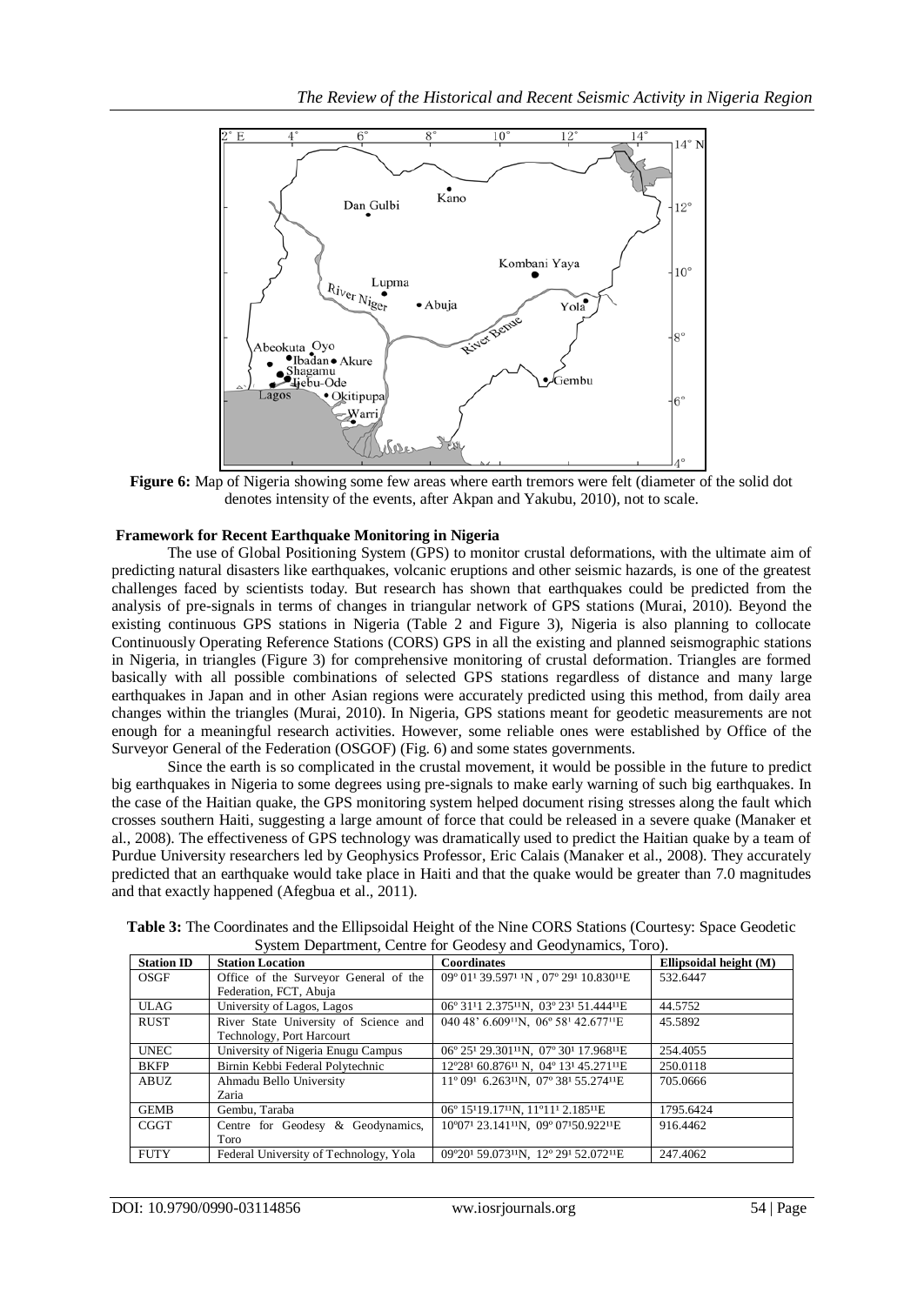

**Figure 6:** Map of Nigeria showing some few areas where earth tremors were felt (diameter of the solid dot denotes intensity of the events, after Akpan and Yakubu, 2010), not to scale.

# **Framework for Recent Earthquake Monitoring in Nigeria**

The use of Global Positioning System (GPS) to monitor crustal deformations, with the ultimate aim of predicting natural disasters like earthquakes, volcanic eruptions and other seismic hazards, is one of the greatest challenges faced by scientists today. But research has shown that earthquakes could be predicted from the analysis of pre-signals in terms of changes in triangular network of GPS stations (Murai, 2010). Beyond the existing continuous GPS stations in Nigeria (Table 2 and Figure 3), Nigeria is also planning to collocate Continuously Operating Reference Stations (CORS) GPS in all the existing and planned seismographic stations in Nigeria, in triangles (Figure 3) for comprehensive monitoring of crustal deformation. Triangles are formed basically with all possible combinations of selected GPS stations regardless of distance and many large earthquakes in Japan and in other Asian regions were accurately predicted using this method, from daily area changes within the triangles (Murai, 2010). In Nigeria, GPS stations meant for geodetic measurements are not enough for a meaningful research activities. However, some reliable ones were established by Office of the Surveyor General of the Federation (OSGOF) (Fig. 6) and some states governments.

Since the earth is so complicated in the crustal movement, it would be possible in the future to predict big earthquakes in Nigeria to some degrees using pre-signals to make early warning of such big earthquakes. In the case of the Haitian quake, the GPS monitoring system helped document rising stresses along the fault which crosses southern Haiti, suggesting a large amount of force that could be released in a severe quake (Manaker et al., 2008). The effectiveness of GPS technology was dramatically used to predict the Haitian quake by a team of Purdue University researchers led by Geophysics Professor, Eric Calais (Manaker et al., 2008). They accurately predicted that an earthquake would take place in Haiti and that the quake would be greater than 7.0 magnitudes and that exactly happened (Afegbua et al., 2011).

| <b>Station ID</b> | <b>Station Location</b>                | <b>Coordinates</b>                                                                    | Ellipsoidal height (M) |
|-------------------|----------------------------------------|---------------------------------------------------------------------------------------|------------------------|
| OSGF              | Office of the Surveyor General of the  | 09° 01' 39.597' 'N, 07° 29' 10.830''E                                                 | 532.6447               |
|                   | Federation, FCT, Abuja                 |                                                                                       |                        |
| ULAG.             | University of Lagos, Lagos             | 06° 31'1 2.375"N, 03° 23' 51.444"E                                                    | 44.5752                |
| <b>RUST</b>       | River State University of Science and  | 040 48' 6.609 <sup>11</sup> N, 06° 58 <sup>1</sup> 42.677 <sup>11</sup> E             | 45.5892                |
|                   | Technology, Port Harcourt              |                                                                                       |                        |
| <b>UNEC</b>       | University of Nigeria Enugu Campus     | 06° 251 29.301 <sup>11</sup> N, 07° 301 17.968 <sup>11</sup> E                        | 254.4055               |
| <b>BKFP</b>       | Birnin Kebbi Federal Polytechnic       | 12°28 <sup>1</sup> 60.876 <sup>11</sup> N, 04° 13 <sup>1</sup> 45.271 <sup>11</sup> E | 250.0118               |
| ABUZ              | Ahmadu Bello University                | 11° 091 6.263 <sup>11</sup> N, 07° 38 <sup>1</sup> 55.274 <sup>11</sup> E             | 705.0666               |
|                   | Zaria                                  |                                                                                       |                        |
| <b>GEMB</b>       | Gembu, Taraba                          | 06° 15119.1711N, 11°111 2.18511E                                                      | 1795.6424              |
| <b>CGGT</b>       | Centre for Geodesy & Geodynamics,      | 10°07 <sup>1</sup> 23.141 <sup>11</sup> N, 09° 07 <sup>1</sup> 50.922 <sup>11</sup> E | 916.4462               |
|                   | Toro                                   |                                                                                       |                        |
| <b>FUTY</b>       | Federal University of Technology, Yola | 09°201 59.07311N, 12° 291 52.07211E                                                   | 247.4062               |

**Table 3:** The Coordinates and the Ellipsoidal Height of the Nine CORS Stations (Courtesy: Space Geodetic System Department, Centre for Geodesy and Geodynamics, Toro).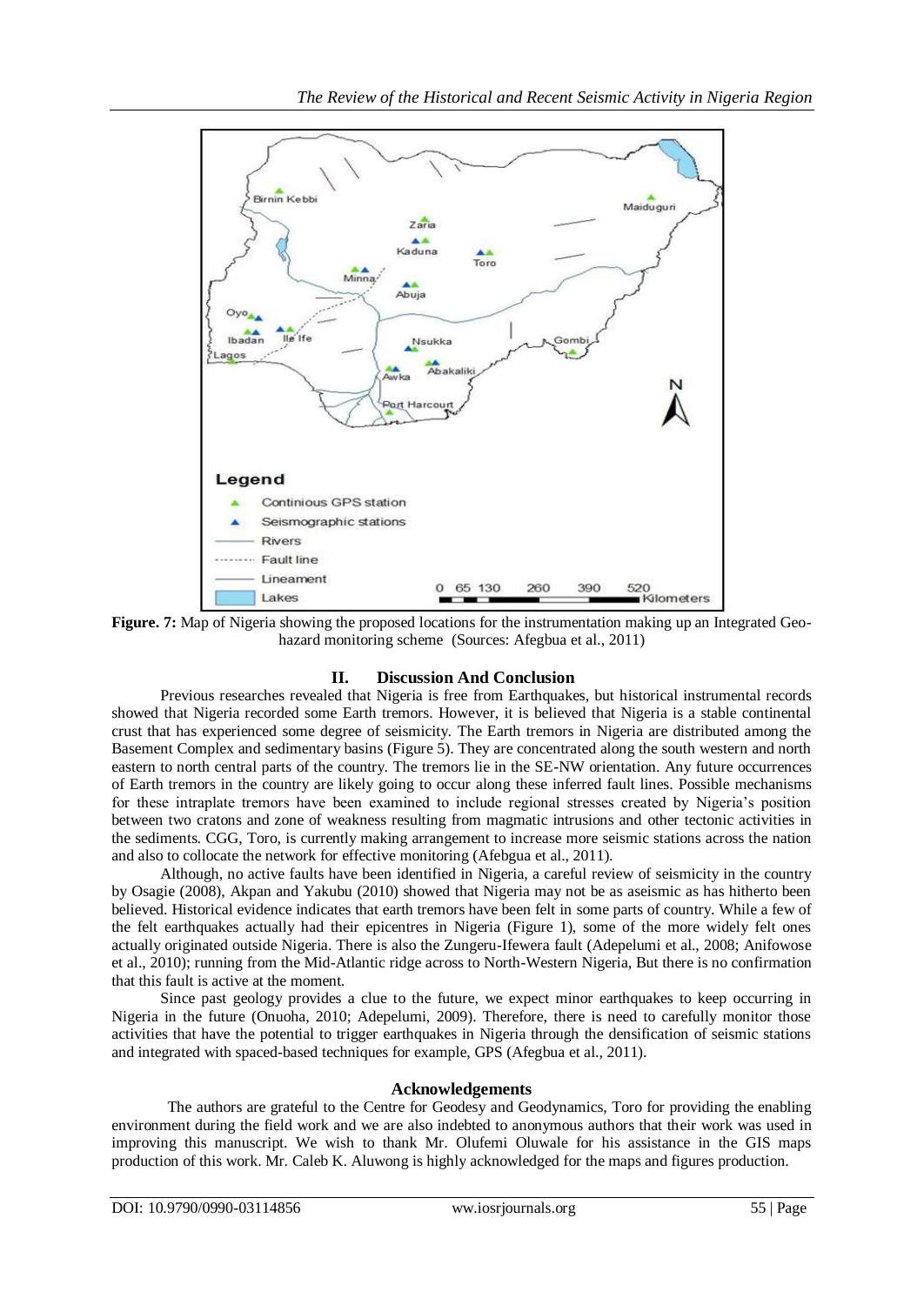

**Figure. 7:** Map of Nigeria showing the proposed locations for the instrumentation making up an Integrated Geohazard monitoring scheme (Sources: Afegbua et al., 2011)

# **II. Discussion And Conclusion**

Previous researches revealed that Nigeria is free from Earthquakes, but historical instrumental records showed that Nigeria recorded some Earth tremors. However, it is believed that Nigeria is a stable continental crust that has experienced some degree of seismicity. The Earth tremors in Nigeria are distributed among the Basement Complex and sedimentary basins (Figure 5). They are concentrated along the south western and north eastern to north central parts of the country. The tremors lie in the SE-NW orientation. Any future occurrences of Earth tremors in the country are likely going to occur along these inferred fault lines. Possible mechanisms for these intraplate tremors have been examined to include regional stresses created by Nigeria's position between two cratons and zone of weakness resulting from magmatic intrusions and other tectonic activities in the sediments. CGG, Toro, is currently making arrangement to increase more seismic stations across the nation and also to collocate the network for effective monitoring (Afebgua et al., 2011).

Although, no active faults have been identified in Nigeria, a careful review of seismicity in the country by Osagie (2008), Akpan and Yakubu (2010) showed that Nigeria may not be as aseismic as has hitherto been believed. Historical evidence indicates that earth tremors have been felt in some parts of country. While a few of the felt earthquakes actually had their epicentres in Nigeria (Figure 1), some of the more widely felt ones actually originated outside Nigeria. There is also the Zungeru-Ifewera fault (Adepelumi et al., 2008; Anifowose et al., 2010); running from the Mid-Atlantic ridge across to North-Western Nigeria, But there is no confirmation that this fault is active at the moment.

Since past geology provides a clue to the future, we expect minor earthquakes to keep occurring in Nigeria in the future (Onuoha, 2010; Adepelumi, 2009). Therefore, there is need to carefully monitor those activities that have the potential to trigger earthquakes in Nigeria through the densification of seismic stations and integrated with spaced-based techniques for example, GPS (Afegbua et al., 2011).

# **Acknowledgements**

The authors are grateful to the Centre for Geodesy and Geodynamics, Toro for providing the enabling environment during the field work and we are also indebted to anonymous authors that their work was used in improving this manuscript. We wish to thank Mr. Olufemi Oluwale for his assistance in the GIS maps production of this work. Mr. Caleb K. Aluwong is highly acknowledged for the maps and figures production.